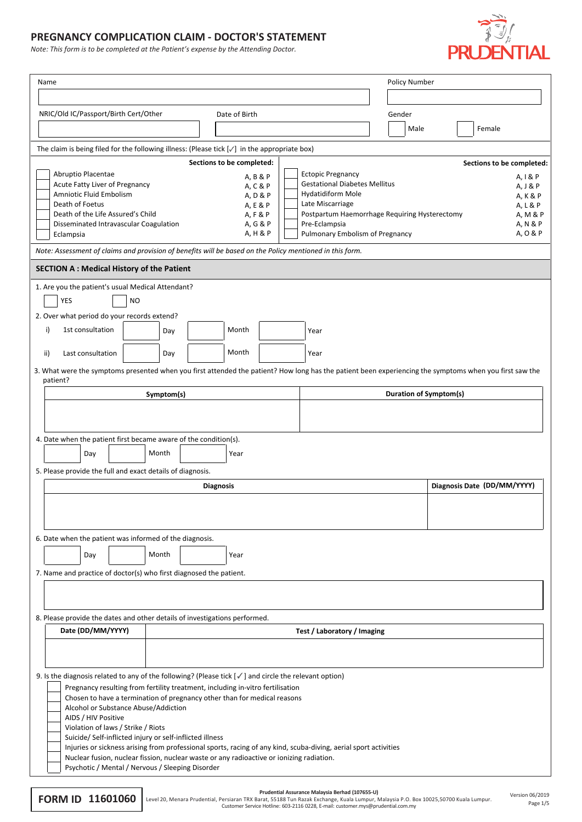## **PREGNANCY COMPLICATION CLAIM - DOCTOR'S STATEMENT**

*Note: This form is to be completed at the Patient's expense by the Attending Doctor.*



| Name                                                                                                                                                                         |                                             |  |                                                           | Policy Number                                                         |      |                           |  |
|------------------------------------------------------------------------------------------------------------------------------------------------------------------------------|---------------------------------------------|--|-----------------------------------------------------------|-----------------------------------------------------------------------|------|---------------------------|--|
|                                                                                                                                                                              |                                             |  |                                                           |                                                                       |      |                           |  |
| NRIC/Old IC/Passport/Birth Cert/Other                                                                                                                                        | Date of Birth                               |  |                                                           | Gender                                                                |      |                           |  |
|                                                                                                                                                                              |                                             |  |                                                           |                                                                       | Male | Female                    |  |
| The claim is being filed for the following illness: (Please tick $[\checkmark]$ in the appropriate box)                                                                      |                                             |  |                                                           |                                                                       |      |                           |  |
|                                                                                                                                                                              | Sections to be completed:                   |  |                                                           |                                                                       |      | Sections to be completed: |  |
| Abruptio Placentae                                                                                                                                                           | A, B & P                                    |  | <b>Ectopic Pregnancy</b>                                  |                                                                       |      | A, I & P                  |  |
| Acute Fatty Liver of Pregnancy<br>Amniotic Fluid Embolism                                                                                                                    | A, C & P<br>A, D & P                        |  | <b>Gestational Diabetes Mellitus</b><br>Hydatidiform Mole |                                                                       |      | A, J & P<br>A, K & P      |  |
| Death of Foetus                                                                                                                                                              | A, E & P                                    |  | Late Miscarriage                                          |                                                                       |      | A, L & P                  |  |
| Death of the Life Assured's Child<br>Disseminated Intravascular Coagulation                                                                                                  | A, F & P<br>A, G & P<br>Pre-Eclampsia       |  |                                                           | Postpartum Haemorrhage Requiring Hysterectomy<br>A. M & P<br>A, N & P |      |                           |  |
| Eclampsia                                                                                                                                                                    | A, H & P<br>Pulmonary Embolism of Pregnancy |  |                                                           |                                                                       |      | A, O & P                  |  |
| Note: Assessment of claims and provision of benefits will be based on the Policy mentioned in this form.                                                                     |                                             |  |                                                           |                                                                       |      |                           |  |
| <b>SECTION A: Medical History of the Patient</b>                                                                                                                             |                                             |  |                                                           |                                                                       |      |                           |  |
| 1. Are you the patient's usual Medical Attendant?                                                                                                                            |                                             |  |                                                           |                                                                       |      |                           |  |
| <b>YES</b><br><b>NO</b>                                                                                                                                                      |                                             |  |                                                           |                                                                       |      |                           |  |
| 2. Over what period do your records extend?                                                                                                                                  |                                             |  |                                                           |                                                                       |      |                           |  |
| 1st consultation<br>i)<br>Day                                                                                                                                                | Month                                       |  | Year                                                      |                                                                       |      |                           |  |
| Last consultation<br>ii)<br>Day                                                                                                                                              | Month                                       |  | Year                                                      |                                                                       |      |                           |  |
| 3. What were the symptoms presented when you first attended the patient? How long has the patient been experiencing the symptoms when you first saw the                      |                                             |  |                                                           |                                                                       |      |                           |  |
| patient?                                                                                                                                                                     |                                             |  |                                                           |                                                                       |      |                           |  |
| Symptom(s)                                                                                                                                                                   |                                             |  | Duration of Symptom(s)                                    |                                                                       |      |                           |  |
|                                                                                                                                                                              |                                             |  |                                                           |                                                                       |      |                           |  |
| 4. Date when the patient first became aware of the condition(s).                                                                                                             |                                             |  |                                                           |                                                                       |      |                           |  |
| Month<br>Day<br>Year                                                                                                                                                         |                                             |  |                                                           |                                                                       |      |                           |  |
| 5. Please provide the full and exact details of diagnosis.                                                                                                                   |                                             |  |                                                           |                                                                       |      |                           |  |
| Diagnosis Date (DD/MM/YYYY)<br><b>Diagnosis</b>                                                                                                                              |                                             |  |                                                           |                                                                       |      |                           |  |
|                                                                                                                                                                              |                                             |  |                                                           |                                                                       |      |                           |  |
|                                                                                                                                                                              |                                             |  |                                                           |                                                                       |      |                           |  |
| 6. Date when the patient was informed of the diagnosis.                                                                                                                      |                                             |  |                                                           |                                                                       |      |                           |  |
| Month<br>Day<br>Year                                                                                                                                                         |                                             |  |                                                           |                                                                       |      |                           |  |
| 7. Name and practice of doctor(s) who first diagnosed the patient.                                                                                                           |                                             |  |                                                           |                                                                       |      |                           |  |
|                                                                                                                                                                              |                                             |  |                                                           |                                                                       |      |                           |  |
|                                                                                                                                                                              |                                             |  |                                                           |                                                                       |      |                           |  |
| 8. Please provide the dates and other details of investigations performed.                                                                                                   |                                             |  |                                                           |                                                                       |      |                           |  |
| Date (DD/MM/YYYY)                                                                                                                                                            |                                             |  | Test / Laboratory / Imaging                               |                                                                       |      |                           |  |
|                                                                                                                                                                              |                                             |  |                                                           |                                                                       |      |                           |  |
|                                                                                                                                                                              |                                             |  |                                                           |                                                                       |      |                           |  |
| 9. Is the diagnosis related to any of the following? (Please tick $[\checkmark]$ and circle the relevant option)                                                             |                                             |  |                                                           |                                                                       |      |                           |  |
| Pregnancy resulting from fertility treatment, including in-vitro fertilisation<br>Chosen to have a termination of pregnancy other than for medical reasons                   |                                             |  |                                                           |                                                                       |      |                           |  |
| Alcohol or Substance Abuse/Addiction                                                                                                                                         |                                             |  |                                                           |                                                                       |      |                           |  |
| AIDS / HIV Positive<br>Violation of laws / Strike / Riots                                                                                                                    |                                             |  |                                                           |                                                                       |      |                           |  |
| Suicide/ Self-inflicted injury or self-inflicted illness<br>Injuries or sickness arising from professional sports, racing of any kind, scuba-diving, aerial sport activities |                                             |  |                                                           |                                                                       |      |                           |  |
| Nuclear fusion, nuclear fission, nuclear waste or any radioactive or ionizing radiation.                                                                                     |                                             |  |                                                           |                                                                       |      |                           |  |
| Psychotic / Mental / Nervous / Sleeping Disorder                                                                                                                             |                                             |  |                                                           |                                                                       |      |                           |  |

**FORM ID 11601060** Level 20, Menara Prudential, Persiaran TRX Barat, 55188 Turk Razak Exchange, Kuala Lumpur, Malaysia P.O. Box 10025,50700 Kuala Lumpur.<br>Customer Service Hotline: 603-2116 0228, E-mail: customer.mpur, Mala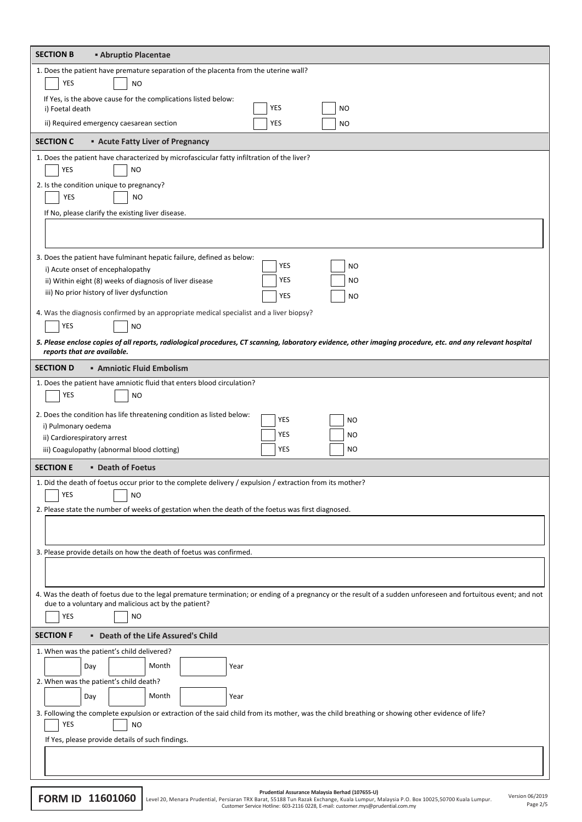| 1. Does the patient have premature separation of the placenta from the uterine wall?<br>YES<br>NO<br>If Yes, is the above cause for the complications listed below:<br>YES<br>NO<br>i) Foetal death<br>ii) Required emergency caesarean section<br>YES<br>NO<br><b>SECTION C</b><br><b>Acute Fatty Liver of Pregnancy</b><br>1. Does the patient have characterized by microfascicular fatty infiltration of the liver?<br>YES<br><b>NO</b><br>2. Is the condition unique to pregnancy?<br>YES<br><b>NO</b><br>If No, please clarify the existing liver disease.<br>3. Does the patient have fulminant hepatic failure, defined as below:<br>YES<br><b>NO</b><br>i) Acute onset of encephalopathy<br>YES<br><b>NO</b><br>ii) Within eight (8) weeks of diagnosis of liver disease<br>iii) No prior history of liver dysfunction<br>YES<br><b>NO</b><br>4. Was the diagnosis confirmed by an appropriate medical specialist and a liver biopsy?<br>YES<br><b>NO</b><br>5. Please enclose copies of all reports, radiological procedures, CT scanning, laboratory evidence, other imaging procedure, etc. and any relevant hospital<br>reports that are available.<br><b>SECTION D</b><br><b>Amniotic Fluid Embolism</b><br>1. Does the patient have amniotic fluid that enters blood circulation?<br>YES<br>NO<br>2. Does the condition has life threatening condition as listed below:<br>YES<br>NO<br>i) Pulmonary oedema<br>YES<br>NO<br>ii) Cardiorespiratory arrest<br>YES<br>iii) Coagulopathy (abnormal blood clotting)<br>NO<br><b>SECTION E</b><br><b>• Death of Foetus</b><br>1. Did the death of foetus occur prior to the complete delivery / expulsion / extraction from its mother?<br>YES<br>NO<br>2. Please state the number of weeks of gestation when the death of the foetus was first diagnosed.<br>3. Please provide details on how the death of foetus was confirmed.<br>4. Was the death of foetus due to the legal premature termination; or ending of a pregnancy or the result of a sudden unforeseen and fortuitous event; and not<br>due to a voluntary and malicious act by the patient?<br>YES<br><b>NO</b><br><b>SECTION F</b><br>" Death of the Life Assured's Child<br>1. When was the patient's child delivered?<br>Month<br>Day<br>Year<br>2. When was the patient's child death?<br>Month<br>Day<br>Year<br>3. Following the complete expulsion or extraction of the said child from its mother, was the child breathing or showing other evidence of life?<br>YES<br><b>NO</b><br>If Yes, please provide details of such findings. | <b>SECTION B</b><br><b>Abruptio Placentae</b> |  |  |  |  |
|------------------------------------------------------------------------------------------------------------------------------------------------------------------------------------------------------------------------------------------------------------------------------------------------------------------------------------------------------------------------------------------------------------------------------------------------------------------------------------------------------------------------------------------------------------------------------------------------------------------------------------------------------------------------------------------------------------------------------------------------------------------------------------------------------------------------------------------------------------------------------------------------------------------------------------------------------------------------------------------------------------------------------------------------------------------------------------------------------------------------------------------------------------------------------------------------------------------------------------------------------------------------------------------------------------------------------------------------------------------------------------------------------------------------------------------------------------------------------------------------------------------------------------------------------------------------------------------------------------------------------------------------------------------------------------------------------------------------------------------------------------------------------------------------------------------------------------------------------------------------------------------------------------------------------------------------------------------------------------------------------------------------------------------------------------------------------------------------------------------------------------------------------------------------------------------------------------------------------------------------------------------------------------------------------------------------------------------------------------------------------------------------------------------------------------------------------------------------------------------------------------------------------------------------------------------------|-----------------------------------------------|--|--|--|--|
|                                                                                                                                                                                                                                                                                                                                                                                                                                                                                                                                                                                                                                                                                                                                                                                                                                                                                                                                                                                                                                                                                                                                                                                                                                                                                                                                                                                                                                                                                                                                                                                                                                                                                                                                                                                                                                                                                                                                                                                                                                                                                                                                                                                                                                                                                                                                                                                                                                                                                                                                                                        |                                               |  |  |  |  |
|                                                                                                                                                                                                                                                                                                                                                                                                                                                                                                                                                                                                                                                                                                                                                                                                                                                                                                                                                                                                                                                                                                                                                                                                                                                                                                                                                                                                                                                                                                                                                                                                                                                                                                                                                                                                                                                                                                                                                                                                                                                                                                                                                                                                                                                                                                                                                                                                                                                                                                                                                                        |                                               |  |  |  |  |
|                                                                                                                                                                                                                                                                                                                                                                                                                                                                                                                                                                                                                                                                                                                                                                                                                                                                                                                                                                                                                                                                                                                                                                                                                                                                                                                                                                                                                                                                                                                                                                                                                                                                                                                                                                                                                                                                                                                                                                                                                                                                                                                                                                                                                                                                                                                                                                                                                                                                                                                                                                        |                                               |  |  |  |  |
|                                                                                                                                                                                                                                                                                                                                                                                                                                                                                                                                                                                                                                                                                                                                                                                                                                                                                                                                                                                                                                                                                                                                                                                                                                                                                                                                                                                                                                                                                                                                                                                                                                                                                                                                                                                                                                                                                                                                                                                                                                                                                                                                                                                                                                                                                                                                                                                                                                                                                                                                                                        |                                               |  |  |  |  |
|                                                                                                                                                                                                                                                                                                                                                                                                                                                                                                                                                                                                                                                                                                                                                                                                                                                                                                                                                                                                                                                                                                                                                                                                                                                                                                                                                                                                                                                                                                                                                                                                                                                                                                                                                                                                                                                                                                                                                                                                                                                                                                                                                                                                                                                                                                                                                                                                                                                                                                                                                                        |                                               |  |  |  |  |
|                                                                                                                                                                                                                                                                                                                                                                                                                                                                                                                                                                                                                                                                                                                                                                                                                                                                                                                                                                                                                                                                                                                                                                                                                                                                                                                                                                                                                                                                                                                                                                                                                                                                                                                                                                                                                                                                                                                                                                                                                                                                                                                                                                                                                                                                                                                                                                                                                                                                                                                                                                        |                                               |  |  |  |  |
|                                                                                                                                                                                                                                                                                                                                                                                                                                                                                                                                                                                                                                                                                                                                                                                                                                                                                                                                                                                                                                                                                                                                                                                                                                                                                                                                                                                                                                                                                                                                                                                                                                                                                                                                                                                                                                                                                                                                                                                                                                                                                                                                                                                                                                                                                                                                                                                                                                                                                                                                                                        |                                               |  |  |  |  |
|                                                                                                                                                                                                                                                                                                                                                                                                                                                                                                                                                                                                                                                                                                                                                                                                                                                                                                                                                                                                                                                                                                                                                                                                                                                                                                                                                                                                                                                                                                                                                                                                                                                                                                                                                                                                                                                                                                                                                                                                                                                                                                                                                                                                                                                                                                                                                                                                                                                                                                                                                                        |                                               |  |  |  |  |
|                                                                                                                                                                                                                                                                                                                                                                                                                                                                                                                                                                                                                                                                                                                                                                                                                                                                                                                                                                                                                                                                                                                                                                                                                                                                                                                                                                                                                                                                                                                                                                                                                                                                                                                                                                                                                                                                                                                                                                                                                                                                                                                                                                                                                                                                                                                                                                                                                                                                                                                                                                        |                                               |  |  |  |  |
|                                                                                                                                                                                                                                                                                                                                                                                                                                                                                                                                                                                                                                                                                                                                                                                                                                                                                                                                                                                                                                                                                                                                                                                                                                                                                                                                                                                                                                                                                                                                                                                                                                                                                                                                                                                                                                                                                                                                                                                                                                                                                                                                                                                                                                                                                                                                                                                                                                                                                                                                                                        |                                               |  |  |  |  |
|                                                                                                                                                                                                                                                                                                                                                                                                                                                                                                                                                                                                                                                                                                                                                                                                                                                                                                                                                                                                                                                                                                                                                                                                                                                                                                                                                                                                                                                                                                                                                                                                                                                                                                                                                                                                                                                                                                                                                                                                                                                                                                                                                                                                                                                                                                                                                                                                                                                                                                                                                                        |                                               |  |  |  |  |
|                                                                                                                                                                                                                                                                                                                                                                                                                                                                                                                                                                                                                                                                                                                                                                                                                                                                                                                                                                                                                                                                                                                                                                                                                                                                                                                                                                                                                                                                                                                                                                                                                                                                                                                                                                                                                                                                                                                                                                                                                                                                                                                                                                                                                                                                                                                                                                                                                                                                                                                                                                        |                                               |  |  |  |  |
|                                                                                                                                                                                                                                                                                                                                                                                                                                                                                                                                                                                                                                                                                                                                                                                                                                                                                                                                                                                                                                                                                                                                                                                                                                                                                                                                                                                                                                                                                                                                                                                                                                                                                                                                                                                                                                                                                                                                                                                                                                                                                                                                                                                                                                                                                                                                                                                                                                                                                                                                                                        |                                               |  |  |  |  |
|                                                                                                                                                                                                                                                                                                                                                                                                                                                                                                                                                                                                                                                                                                                                                                                                                                                                                                                                                                                                                                                                                                                                                                                                                                                                                                                                                                                                                                                                                                                                                                                                                                                                                                                                                                                                                                                                                                                                                                                                                                                                                                                                                                                                                                                                                                                                                                                                                                                                                                                                                                        |                                               |  |  |  |  |
|                                                                                                                                                                                                                                                                                                                                                                                                                                                                                                                                                                                                                                                                                                                                                                                                                                                                                                                                                                                                                                                                                                                                                                                                                                                                                                                                                                                                                                                                                                                                                                                                                                                                                                                                                                                                                                                                                                                                                                                                                                                                                                                                                                                                                                                                                                                                                                                                                                                                                                                                                                        |                                               |  |  |  |  |
|                                                                                                                                                                                                                                                                                                                                                                                                                                                                                                                                                                                                                                                                                                                                                                                                                                                                                                                                                                                                                                                                                                                                                                                                                                                                                                                                                                                                                                                                                                                                                                                                                                                                                                                                                                                                                                                                                                                                                                                                                                                                                                                                                                                                                                                                                                                                                                                                                                                                                                                                                                        |                                               |  |  |  |  |
|                                                                                                                                                                                                                                                                                                                                                                                                                                                                                                                                                                                                                                                                                                                                                                                                                                                                                                                                                                                                                                                                                                                                                                                                                                                                                                                                                                                                                                                                                                                                                                                                                                                                                                                                                                                                                                                                                                                                                                                                                                                                                                                                                                                                                                                                                                                                                                                                                                                                                                                                                                        |                                               |  |  |  |  |
|                                                                                                                                                                                                                                                                                                                                                                                                                                                                                                                                                                                                                                                                                                                                                                                                                                                                                                                                                                                                                                                                                                                                                                                                                                                                                                                                                                                                                                                                                                                                                                                                                                                                                                                                                                                                                                                                                                                                                                                                                                                                                                                                                                                                                                                                                                                                                                                                                                                                                                                                                                        |                                               |  |  |  |  |
|                                                                                                                                                                                                                                                                                                                                                                                                                                                                                                                                                                                                                                                                                                                                                                                                                                                                                                                                                                                                                                                                                                                                                                                                                                                                                                                                                                                                                                                                                                                                                                                                                                                                                                                                                                                                                                                                                                                                                                                                                                                                                                                                                                                                                                                                                                                                                                                                                                                                                                                                                                        |                                               |  |  |  |  |
|                                                                                                                                                                                                                                                                                                                                                                                                                                                                                                                                                                                                                                                                                                                                                                                                                                                                                                                                                                                                                                                                                                                                                                                                                                                                                                                                                                                                                                                                                                                                                                                                                                                                                                                                                                                                                                                                                                                                                                                                                                                                                                                                                                                                                                                                                                                                                                                                                                                                                                                                                                        |                                               |  |  |  |  |
|                                                                                                                                                                                                                                                                                                                                                                                                                                                                                                                                                                                                                                                                                                                                                                                                                                                                                                                                                                                                                                                                                                                                                                                                                                                                                                                                                                                                                                                                                                                                                                                                                                                                                                                                                                                                                                                                                                                                                                                                                                                                                                                                                                                                                                                                                                                                                                                                                                                                                                                                                                        |                                               |  |  |  |  |
|                                                                                                                                                                                                                                                                                                                                                                                                                                                                                                                                                                                                                                                                                                                                                                                                                                                                                                                                                                                                                                                                                                                                                                                                                                                                                                                                                                                                                                                                                                                                                                                                                                                                                                                                                                                                                                                                                                                                                                                                                                                                                                                                                                                                                                                                                                                                                                                                                                                                                                                                                                        |                                               |  |  |  |  |
|                                                                                                                                                                                                                                                                                                                                                                                                                                                                                                                                                                                                                                                                                                                                                                                                                                                                                                                                                                                                                                                                                                                                                                                                                                                                                                                                                                                                                                                                                                                                                                                                                                                                                                                                                                                                                                                                                                                                                                                                                                                                                                                                                                                                                                                                                                                                                                                                                                                                                                                                                                        |                                               |  |  |  |  |
|                                                                                                                                                                                                                                                                                                                                                                                                                                                                                                                                                                                                                                                                                                                                                                                                                                                                                                                                                                                                                                                                                                                                                                                                                                                                                                                                                                                                                                                                                                                                                                                                                                                                                                                                                                                                                                                                                                                                                                                                                                                                                                                                                                                                                                                                                                                                                                                                                                                                                                                                                                        |                                               |  |  |  |  |
|                                                                                                                                                                                                                                                                                                                                                                                                                                                                                                                                                                                                                                                                                                                                                                                                                                                                                                                                                                                                                                                                                                                                                                                                                                                                                                                                                                                                                                                                                                                                                                                                                                                                                                                                                                                                                                                                                                                                                                                                                                                                                                                                                                                                                                                                                                                                                                                                                                                                                                                                                                        |                                               |  |  |  |  |
|                                                                                                                                                                                                                                                                                                                                                                                                                                                                                                                                                                                                                                                                                                                                                                                                                                                                                                                                                                                                                                                                                                                                                                                                                                                                                                                                                                                                                                                                                                                                                                                                                                                                                                                                                                                                                                                                                                                                                                                                                                                                                                                                                                                                                                                                                                                                                                                                                                                                                                                                                                        |                                               |  |  |  |  |
|                                                                                                                                                                                                                                                                                                                                                                                                                                                                                                                                                                                                                                                                                                                                                                                                                                                                                                                                                                                                                                                                                                                                                                                                                                                                                                                                                                                                                                                                                                                                                                                                                                                                                                                                                                                                                                                                                                                                                                                                                                                                                                                                                                                                                                                                                                                                                                                                                                                                                                                                                                        |                                               |  |  |  |  |
|                                                                                                                                                                                                                                                                                                                                                                                                                                                                                                                                                                                                                                                                                                                                                                                                                                                                                                                                                                                                                                                                                                                                                                                                                                                                                                                                                                                                                                                                                                                                                                                                                                                                                                                                                                                                                                                                                                                                                                                                                                                                                                                                                                                                                                                                                                                                                                                                                                                                                                                                                                        |                                               |  |  |  |  |
|                                                                                                                                                                                                                                                                                                                                                                                                                                                                                                                                                                                                                                                                                                                                                                                                                                                                                                                                                                                                                                                                                                                                                                                                                                                                                                                                                                                                                                                                                                                                                                                                                                                                                                                                                                                                                                                                                                                                                                                                                                                                                                                                                                                                                                                                                                                                                                                                                                                                                                                                                                        |                                               |  |  |  |  |
|                                                                                                                                                                                                                                                                                                                                                                                                                                                                                                                                                                                                                                                                                                                                                                                                                                                                                                                                                                                                                                                                                                                                                                                                                                                                                                                                                                                                                                                                                                                                                                                                                                                                                                                                                                                                                                                                                                                                                                                                                                                                                                                                                                                                                                                                                                                                                                                                                                                                                                                                                                        |                                               |  |  |  |  |
|                                                                                                                                                                                                                                                                                                                                                                                                                                                                                                                                                                                                                                                                                                                                                                                                                                                                                                                                                                                                                                                                                                                                                                                                                                                                                                                                                                                                                                                                                                                                                                                                                                                                                                                                                                                                                                                                                                                                                                                                                                                                                                                                                                                                                                                                                                                                                                                                                                                                                                                                                                        |                                               |  |  |  |  |
|                                                                                                                                                                                                                                                                                                                                                                                                                                                                                                                                                                                                                                                                                                                                                                                                                                                                                                                                                                                                                                                                                                                                                                                                                                                                                                                                                                                                                                                                                                                                                                                                                                                                                                                                                                                                                                                                                                                                                                                                                                                                                                                                                                                                                                                                                                                                                                                                                                                                                                                                                                        |                                               |  |  |  |  |
|                                                                                                                                                                                                                                                                                                                                                                                                                                                                                                                                                                                                                                                                                                                                                                                                                                                                                                                                                                                                                                                                                                                                                                                                                                                                                                                                                                                                                                                                                                                                                                                                                                                                                                                                                                                                                                                                                                                                                                                                                                                                                                                                                                                                                                                                                                                                                                                                                                                                                                                                                                        |                                               |  |  |  |  |
|                                                                                                                                                                                                                                                                                                                                                                                                                                                                                                                                                                                                                                                                                                                                                                                                                                                                                                                                                                                                                                                                                                                                                                                                                                                                                                                                                                                                                                                                                                                                                                                                                                                                                                                                                                                                                                                                                                                                                                                                                                                                                                                                                                                                                                                                                                                                                                                                                                                                                                                                                                        |                                               |  |  |  |  |
|                                                                                                                                                                                                                                                                                                                                                                                                                                                                                                                                                                                                                                                                                                                                                                                                                                                                                                                                                                                                                                                                                                                                                                                                                                                                                                                                                                                                                                                                                                                                                                                                                                                                                                                                                                                                                                                                                                                                                                                                                                                                                                                                                                                                                                                                                                                                                                                                                                                                                                                                                                        |                                               |  |  |  |  |
|                                                                                                                                                                                                                                                                                                                                                                                                                                                                                                                                                                                                                                                                                                                                                                                                                                                                                                                                                                                                                                                                                                                                                                                                                                                                                                                                                                                                                                                                                                                                                                                                                                                                                                                                                                                                                                                                                                                                                                                                                                                                                                                                                                                                                                                                                                                                                                                                                                                                                                                                                                        |                                               |  |  |  |  |
|                                                                                                                                                                                                                                                                                                                                                                                                                                                                                                                                                                                                                                                                                                                                                                                                                                                                                                                                                                                                                                                                                                                                                                                                                                                                                                                                                                                                                                                                                                                                                                                                                                                                                                                                                                                                                                                                                                                                                                                                                                                                                                                                                                                                                                                                                                                                                                                                                                                                                                                                                                        |                                               |  |  |  |  |
|                                                                                                                                                                                                                                                                                                                                                                                                                                                                                                                                                                                                                                                                                                                                                                                                                                                                                                                                                                                                                                                                                                                                                                                                                                                                                                                                                                                                                                                                                                                                                                                                                                                                                                                                                                                                                                                                                                                                                                                                                                                                                                                                                                                                                                                                                                                                                                                                                                                                                                                                                                        |                                               |  |  |  |  |

Page 2/5

**FORM ID 11601060** Level 20, Menara Prudential, Persiaran TRX Barat, 55188 Tun Razak Exchange, Kuala Lumpur, Malaysia P.O. Box 10025,50700 Kuala Lumpur.<br>Customer Service Hotline: 603-2116 0228, E-mail: customer.mys@prudent Version 06/2019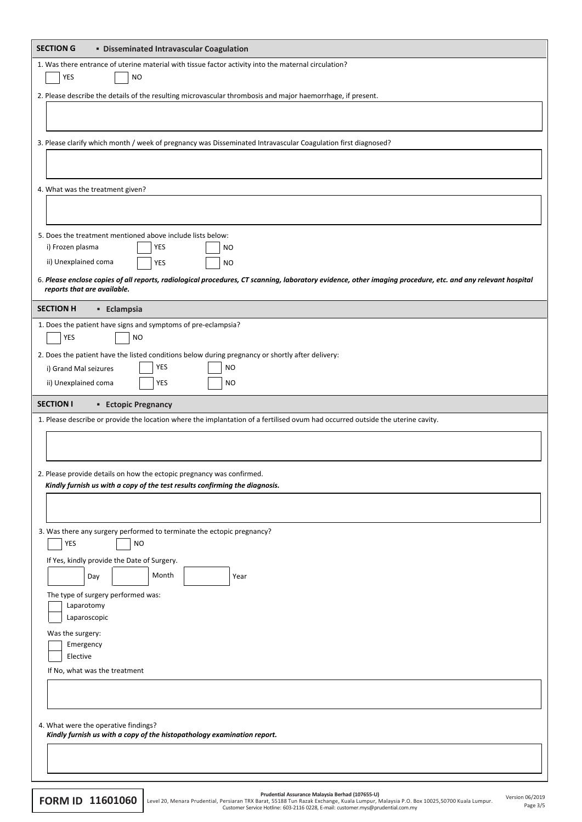| <b>SECTION G</b><br><b>• Disseminated Intravascular Coagulation</b>                                                                                                                        |  |  |  |
|--------------------------------------------------------------------------------------------------------------------------------------------------------------------------------------------|--|--|--|
| 1. Was there entrance of uterine material with tissue factor activity into the maternal circulation?<br>YES<br><b>NO</b>                                                                   |  |  |  |
| 2. Please describe the details of the resulting microvascular thrombosis and major haemorrhage, if present.                                                                                |  |  |  |
|                                                                                                                                                                                            |  |  |  |
| 3. Please clarify which month / week of pregnancy was Disseminated Intravascular Coagulation first diagnosed?                                                                              |  |  |  |
|                                                                                                                                                                                            |  |  |  |
| 4. What was the treatment given?                                                                                                                                                           |  |  |  |
|                                                                                                                                                                                            |  |  |  |
| 5. Does the treatment mentioned above include lists below:                                                                                                                                 |  |  |  |
| YES<br>i) Frozen plasma<br><b>NO</b>                                                                                                                                                       |  |  |  |
| ii) Unexplained coma<br>YES<br><b>NO</b>                                                                                                                                                   |  |  |  |
| 6. Please enclose copies of all reports, radiological procedures, CT scanning, laboratory evidence, other imaging procedure, etc. and any relevant hospital<br>reports that are available. |  |  |  |
| <b>SECTION H</b><br><b>Eclampsia</b>                                                                                                                                                       |  |  |  |
| 1. Does the patient have signs and symptoms of pre-eclampsia?                                                                                                                              |  |  |  |
| <b>YES</b><br><b>NO</b>                                                                                                                                                                    |  |  |  |
| 2. Does the patient have the listed conditions below during pregnancy or shortly after delivery:<br>YES<br><b>NO</b>                                                                       |  |  |  |
| i) Grand Mal seizures<br>YES<br>ii) Unexplained coma<br><b>NO</b>                                                                                                                          |  |  |  |
|                                                                                                                                                                                            |  |  |  |
| <b>SECTION I</b><br><b>Ectopic Pregnancy</b>                                                                                                                                               |  |  |  |
| 1. Please describe or provide the location where the implantation of a fertilised ovum had occurred outside the uterine cavity.                                                            |  |  |  |
|                                                                                                                                                                                            |  |  |  |
| 2. Please provide details on how the ectopic pregnancy was confirmed.<br>Kindly furnish us with a copy of the test results confirming the diagnosis.                                       |  |  |  |
|                                                                                                                                                                                            |  |  |  |
| 3. Was there any surgery performed to terminate the ectopic pregnancy?<br>YES<br><b>NO</b>                                                                                                 |  |  |  |
| If Yes, kindly provide the Date of Surgery.                                                                                                                                                |  |  |  |
| Month<br>Day<br>Year                                                                                                                                                                       |  |  |  |
| The type of surgery performed was:                                                                                                                                                         |  |  |  |
| Laparotomy                                                                                                                                                                                 |  |  |  |
| Laparoscopic                                                                                                                                                                               |  |  |  |
|                                                                                                                                                                                            |  |  |  |
| Was the surgery:                                                                                                                                                                           |  |  |  |
| Emergency<br>Elective                                                                                                                                                                      |  |  |  |
| If No, what was the treatment                                                                                                                                                              |  |  |  |
|                                                                                                                                                                                            |  |  |  |
| 4. What were the operative findings?                                                                                                                                                       |  |  |  |
| Kindly furnish us with a copy of the histopathology examination report.                                                                                                                    |  |  |  |
|                                                                                                                                                                                            |  |  |  |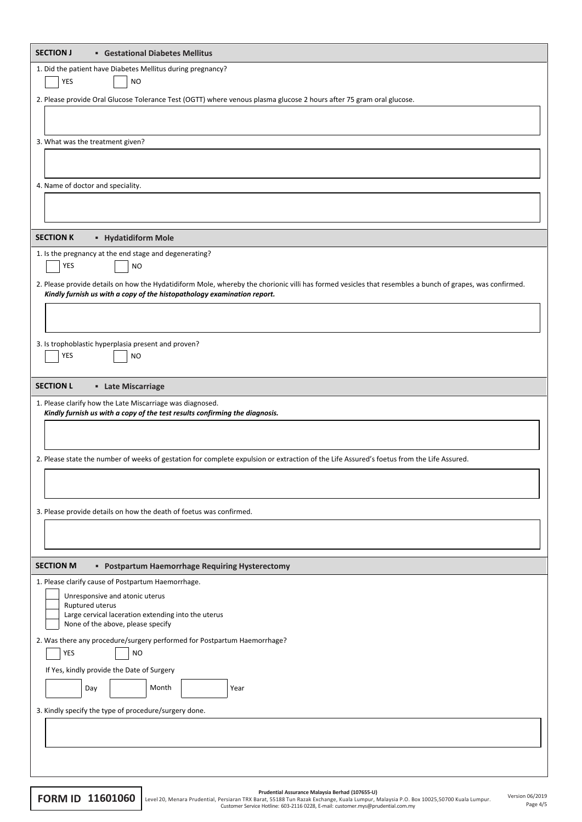| 1. Did the patient have Diabetes Mellitus during pregnancy?                                                                                              |
|----------------------------------------------------------------------------------------------------------------------------------------------------------|
| <b>YES</b><br><b>NO</b>                                                                                                                                  |
| 2. Please provide Oral Glucose Tolerance Test (OGTT) where venous plasma glucose 2 hours after 75 gram oral glucose.                                     |
|                                                                                                                                                          |
| 3. What was the treatment given?                                                                                                                         |
|                                                                                                                                                          |
|                                                                                                                                                          |
| 4. Name of doctor and speciality.                                                                                                                        |
|                                                                                                                                                          |
|                                                                                                                                                          |
| <b>SECTION K</b><br><b>- Hydatidiform Mole</b>                                                                                                           |
| 1. Is the pregnancy at the end stage and degenerating?                                                                                                   |
| YES<br><b>NO</b>                                                                                                                                         |
| 2. Please provide details on how the Hydatidiform Mole, whereby the chorionic villi has formed vesicles that resembles a bunch of grapes, was confirmed. |
| Kindly furnish us with a copy of the histopathology examination report.                                                                                  |
|                                                                                                                                                          |
|                                                                                                                                                          |
| 3. Is trophoblastic hyperplasia present and proven?                                                                                                      |
| YES<br><b>NO</b>                                                                                                                                         |
|                                                                                                                                                          |
| <b>SECTION L</b><br><b>Late Miscarriage</b>                                                                                                              |
| 1. Please clarify how the Late Miscarriage was diagnosed.<br>Kindly furnish us with a copy of the test results confirming the diagnosis.                 |
|                                                                                                                                                          |
|                                                                                                                                                          |
| 2. Please state the number of weeks of gestation for complete expulsion or extraction of the Life Assured's foetus from the Life Assured.                |
|                                                                                                                                                          |
|                                                                                                                                                          |
|                                                                                                                                                          |
|                                                                                                                                                          |
| 3. Please provide details on how the death of foetus was confirmed.                                                                                      |
|                                                                                                                                                          |
|                                                                                                                                                          |
| <b>SECTION M</b><br>" Postpartum Haemorrhage Requiring Hysterectomy                                                                                      |
| 1. Please clarify cause of Postpartum Haemorrhage.                                                                                                       |
| Unresponsive and atonic uterus<br>Ruptured uterus                                                                                                        |
| Large cervical laceration extending into the uterus                                                                                                      |
| None of the above, please specify                                                                                                                        |
| 2. Was there any procedure/surgery performed for Postpartum Haemorrhage?<br>YES<br><b>NO</b>                                                             |
| If Yes, kindly provide the Date of Surgery                                                                                                               |
|                                                                                                                                                          |
| Day<br>Month<br>Year                                                                                                                                     |
| 3. Kindly specify the type of procedure/surgery done.                                                                                                    |
|                                                                                                                                                          |
|                                                                                                                                                          |

**FORM ID 11601060** Level 20, Menara Prudential, Persiaran TRX Barat, S5188 Tun Razak Exchange, Kuala Lumpur, Version 06/2015 Level 20, Menara Prudential, Persiaran TRX Barat, S5188 Tun Razak Exchange, Kuala Lumpur, Version

Page 4/5